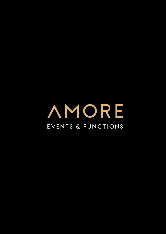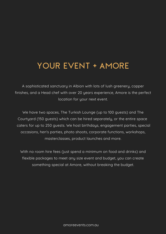# YOUR EVENT + AMORE

A sophisticated sanctuary in Albion with lots of lush greenery, copper finishes, and a Head chef with over 20 years experience, Amore is the perfect location for your next event.

We have two spaces, The Turkish Lounge (up to 100 guests) and The Courtyard (150 guests) which can be hired separately, or the entire space caters for up to 250 guests. We host birthdays, engagement parties, special occasions, hen's parties, photo shoots, corporate functions, workshops, masterclasses, product launches and more.

With no room hire fees (just spend a minimum on food and drinks) and flexible packages to meet any size event and budget, you can create something special at Amore, without breaking the budget.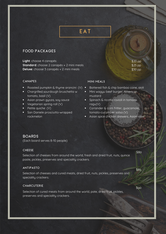# EAT

# FOOD PACKAGES

**Light**: choose 4 canapés **Standard**: choose 2 canapés + 2 mini meals **Deluxe**: choose 3 canapés + 2 mini meals

\$20 pp \$25 pp \$30 pp

#### CANAPES

- $\bullet$
- Chargrilled sourdough bruschetta w tomato, basil (V)
- Asian prawn gyoza, soy sauce
- Vegetarian spring roll (V)
- Petite quiche (V)
- San Daniele prosciutto-wrapped rockmelon

#### MINI MEALS

- Roasted pumpkin & thyme arancini (V) Battered fish & chip bamboo cone, aioli
	- Mini wagyu beef burger, American mustard
	- Spinach & ricotta ravioli in tomato ragu(V)
	- Coriander & corn fritter, guacamole, tomato-cucumber salsa (V)
	- Asian spice chicken skewers, Asian slaw

### BOARDS

(Each board serves 8-10 people)

#### **CHEESE**

Selection of cheeses from around the world, fresh and dried fruit, nuts, quince paste, pickles, preserves and speciality crackers.

#### ANTIPASTO

Selection of cheeses and cured meats, dried fruit, nuts, pickles, preserves and speciality crackers.

#### CHARCUTERIE

Selection of cured meats from around the world, pate, dried fruit, pickles, preserves and speciality crackers.

\$90

\$80

\$85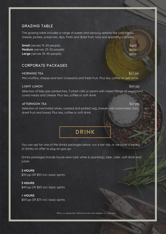### GRAZING TABLE

The grazing table includes a range of sweet and savoury options like cold meats, cheese, pickles, preserves, dips, fresh and dried fruit, nuts and speciality crackers

**Small** (serves 15-20 people) **Medium** (serves 25-30 people) **Large** (serves 35-40 people)

## CORPORATE PACKAGES

#### MORNING TEA

Mini muffins, cheese and ham croissants and fresh fruit. Plus tea, coffee or soft drink.

#### LIGHT LUNCH

Selection of bite-size sandwiches, Turkish rolls or panini with mixed fillings of vegetables, cured meats and cheese. Plus tea, coffee or soft drink.

#### AFTERNOON TEA

Selection of marinated olives, roasted and pickled veg, cheese and cured meat, nuts, dried fruit and bread. Plus tea, coffee or soft drink.

# DRINK

You can opt for one of the drinks packages below, run a bar tab, or we have a variety of drinks on offer to pay-as-you-go.

Drinks packages include house wine (red, white & sparkling), beer, cider, soft drink and juices

#### **2 HOURS**

\$39 pp OR \$55 incl. basic spirits

**3 HOURS** \$49 pp OR \$65 incl. basic spirits

4 **HOURS** \$59 pp OR \$75 incl. basic spirits

Menu is seasonal. Items/prices are subject to change.

\$400 \$600 \$800

\$17 pp

\$20 pp

\$17 pp